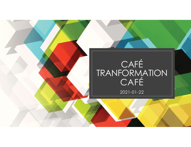## CAFÉ TRANFORMATION CAFÉ |

2021-01-22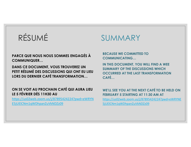# RÉSUMÉ<br>
PARCE QUE NOUS NOUS SOMMES ENGAGÉS À<br>
COMMUNIQUER...<br>
DANS CE DOCUMENT, VOUS TROUVEREZ UN IN THIS DOCUMENT<br>
DANS CE DOCUMENT, VOUS TROUVEREZ UN IN THIS DOCUMENT<br>
DETA DÉCLISE DE CUSSIONS OU QUE CHART DE LUIS SUMMAR COMMUNIQUER…

DANS CE DOCUMENT, VOUS TROUVEREZ UN PETIT RÉSUMÉ DES DISCUSSIONS QUI ONT EU LIEU LORS DU DERNIER CAFÉ TRANSFORMATION…

## ON SE VOIT AU PROCHAIN CAFÉ QUI AURA LIEU LE 5 FÉVRIER DÈS 11H30 AU

https://us02web.zoom.us/j/87895424224?pwd=eWRYN E5jUElCNm1qWDhpanZuVkNDZz09

## RÉSUMÉ SUMMARY

## BECAUSE WE COMMITTED TO COMMUNICATING…

IN THIS DOCUMENT, YOU WILL FIND A WEE SUMMARY OF THE DISCUSSIONS WHICH OCCURRED AT THE LAST TRANSFORMATION CAFÉ…

### WE'LL SEE YOU AT THE NEXT CAFÉ TO BE HELD ON FEBRUARY 5 STARTING AT 11:30 AM AT

https://us02web.zoom.us/j/87895424224?pwd=eWRYNE 5jUElCNm1qWDhpanZuVkNDZz09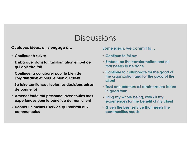# **Discussions** DISCUSSIONS<br>Quelques idées, on s'engage à…<br>○ Continuer à suivre △ Continuer d'a suivre → Continue to follow<br>○ Embarquer dans la transformation et tout ce

- Continuer à suivre
- DISCUSSIONS<br>
Quelques idées, on s'engage à...<br>
⊙Continuer à suivre<br>
⊙Embarquer dans la transformation et tout ce<br>
αi doit être fait<br>
France à coldborner pour le bien de<br>
⊙Continue à coldborner pour le bien de<br>
⊙Continue i DISCUSSIONS<br>
Quelques idées, on s'engage à...<br>
⊙Continuer à suivre<br>
⊙Continuer à suivre<br>
αi doit être fait<br>
∴Continuer à collaborer pour le bien de<br>
le continuer à collaborer pour le bien de<br>
le continue de la le continue
- 
- de bonne foi experiences pour le bénéfice de mon client<br>
experiment de la communitée de mondiale de mondiale de mondiale de mondiale de mondiale de mondiale de l'organisation et pour le bien de l'organisation et pour le bien de l'orga
- 
- communautés

Some ideas, we commit to…

- Continue to follow
- Embark on the transformation and all that needs to be done
- DISCUSSIONS<br>
DISCUSSIONS<br>
<br>
 Continue to follow<br>
 Embarquer dans la transformation et tout ce<br>
 Embark on the transformation and<br>
 Continue to follow<br>
 Continue to follow<br>
 Continue to collaborate for the group<br> ◦ Amener toute ma personne, avec toutes mes ◦ Continue to collaborate for the good of the organization and for the good of the client
	- Trust one another: all decisions are taken in good faith
	- Bring my whole being, with all my experiences for the benefit of my client
	- Given the best service that meets the communities needs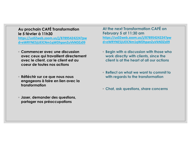# Au prochain CAFÉ Transformation Au prochain CAFÉ Transformation and the number of the series of the series of the series of the series of the series of the series of the series of the series of the series of the series of the series of the series of the

https://us02web.zoom.us/j/87895424224?pw d=eWRYNE5jUElCNm1qWDhpanZuVkNDZz09

- Au prochain CAFÉ Transformation<br>
le 5 février à 11h30 February 5 at 11:30 a<br>
https://us02web.zoom.us/j/878954242224?pw<br>
d=eWRYNE5jUEICNm1qWDhpanZuVkNDZz09<br>
© Commencer avec une discussion<br>
avec ceux qui travaillent direct avec ceux qui fractions and the metallity of the metallity of the metallity of the metallity of the metallity of the metallity of the metallity of the metallity of the metallity of the metallity of the metallity of the met **avec left in the set of the set of the set authorizes**<br> **avec left in the set authorizes and the set authorizes of the set all in the strainsformation of the strainsform of the strainsform of the strainsform of the set au u prochain CAFÉ Transformation**<br>
5 février à 11h30<br>
the next Transformation<br>
the next Transformation<br>
February 5 at 11:3<br>
the s://us02web.zoom.us/j/87895424224?pw<br>
eWRYNE5jUEICNm1qWDhpanZuVkNDZz09<br>
d=eWRYNE5jUEICNm1<br>
Comm Au prochain CAFÉ Transformation<br>
le 5 février à 11h30<br>
https://us02web.zoom.us/j/87895424224?pw<br>
d=eWRYNE5jUEICNm1qWDhpanZuVkNDZz09<br>
↓<br>
← Commencer avec une discussion<br>
← Commencer avec une discussion<br>
← Commencer avec un engageons à faire en lien avec la transformation<br>
den lien avec la transformation<br>
den lien avec la transformation<br>
den lien avec la transformation<br>
den lien avec la transformation<br>
den lien avec la transformation<br>
den lie **Particular Commencer avec une discussion**<br> **Commencer avec une discussion**<br> **Commencer avec une discussion**<br> **Commencer avec une discussion**<br> **Commencer avec une discussion**<br> **Commencer avec une discussion**<br> **Commencer av**
- transformation
- Jaser, demander des questions,

At the next Transformation CAFÉ on February 5 at 11:30 am https://us02web.zoom.us/j/87895424224?pw d=eWRYNE5jUElCNm1qWDhpanZuVkNDZz09 t the next Transformation CAFÉ on<br>
ebruary 5 at 11:30 am<br>
tps://us02web.zoom.us/j/87895424224?pw<br>
eeWRYNE5jUEICNm1qWDhpanZuVkNDZz09<br>
Begin with a discussion with those who<br>
work directly with clients, since the<br>
client is

- Begin with a discussion with those who work directly with clients, since the client is at the heart of all our actions
- Reflect on what we want to commit to
- Chat, ask questions, share concerns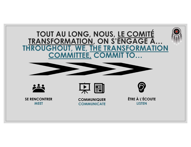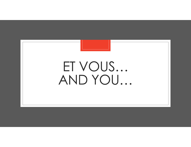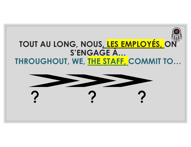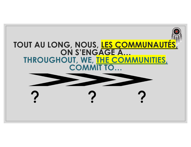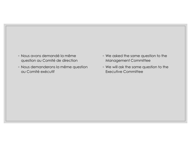- Nous avons demandé la même
- Nous avons demandé la même<br>question au Comité de direction and comité de direction<br>Nous demanderons la même question on We will ask the same comité exécutif <p>● Nous avons demandé la même question au Comité de direction</p>\n<p>● Nos demandé na même question</p>\n<p>● Nous demanderons la même question</p>\n<p>● Nous demanderons la même question</p>\n<p>● We will ask the same question are the same question.</p>\n<p>● We will ask the same question.</p>\n<p>● We will ask the same question.</p>\n<p>● We will ask the same question.</p>\n<p>● We will ask the same question.</p>\n<p>● We will ask the same question.</p>\n<p>● We will ask the same question.</p>\n<p>● We will ask the same question.</p>\n<p>● We will ask the same question.</p>\n<p>● We will ask the same question.</p>\n<p>● We will ask the same question.</p>\n<p>● We will ask the same question.</p Nous avons demandé la même<br>question au Comité de direction (Manage Manage)<br>Nous demanderons la même question (Manage We will de View Manage<br>au Comité exécutif
	- We asked the same question to the Management Committee
	- ↑ We asked the same question to the<br>
	Management Committee<br>
	↑ We will ask the same question to the<br>
	Executive Committee Executive Committee